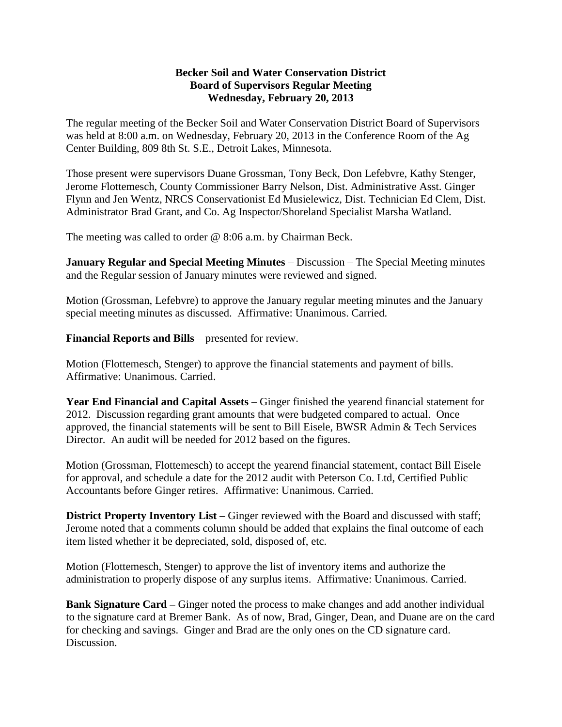#### **Becker Soil and Water Conservation District Board of Supervisors Regular Meeting Wednesday, February 20, 2013**

The regular meeting of the Becker Soil and Water Conservation District Board of Supervisors was held at 8:00 a.m. on Wednesday, February 20, 2013 in the Conference Room of the Ag Center Building, 809 8th St. S.E., Detroit Lakes, Minnesota.

Those present were supervisors Duane Grossman, Tony Beck, Don Lefebvre, Kathy Stenger, Jerome Flottemesch, County Commissioner Barry Nelson, Dist. Administrative Asst. Ginger Flynn and Jen Wentz, NRCS Conservationist Ed Musielewicz, Dist. Technician Ed Clem, Dist. Administrator Brad Grant, and Co. Ag Inspector/Shoreland Specialist Marsha Watland.

The meeting was called to order @ 8:06 a.m. by Chairman Beck.

**January Regular and Special Meeting Minutes** – Discussion – The Special Meeting minutes and the Regular session of January minutes were reviewed and signed.

Motion (Grossman, Lefebvre) to approve the January regular meeting minutes and the January special meeting minutes as discussed. Affirmative: Unanimous. Carried.

**Financial Reports and Bills** – presented for review.

Motion (Flottemesch, Stenger) to approve the financial statements and payment of bills. Affirmative: Unanimous. Carried.

**Year End Financial and Capital Assets** – Ginger finished the yearend financial statement for 2012. Discussion regarding grant amounts that were budgeted compared to actual. Once approved, the financial statements will be sent to Bill Eisele, BWSR Admin & Tech Services Director. An audit will be needed for 2012 based on the figures.

Motion (Grossman, Flottemesch) to accept the yearend financial statement, contact Bill Eisele for approval, and schedule a date for the 2012 audit with Peterson Co. Ltd, Certified Public Accountants before Ginger retires. Affirmative: Unanimous. Carried.

**District Property Inventory List** – Ginger reviewed with the Board and discussed with staff; Jerome noted that a comments column should be added that explains the final outcome of each item listed whether it be depreciated, sold, disposed of, etc.

Motion (Flottemesch, Stenger) to approve the list of inventory items and authorize the administration to properly dispose of any surplus items. Affirmative: Unanimous. Carried.

**Bank Signature Card –** Ginger noted the process to make changes and add another individual to the signature card at Bremer Bank. As of now, Brad, Ginger, Dean, and Duane are on the card for checking and savings. Ginger and Brad are the only ones on the CD signature card. Discussion.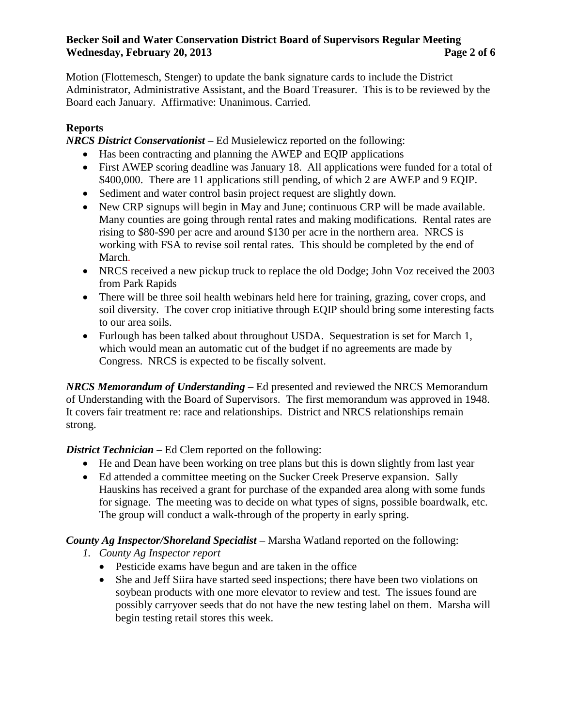#### **Becker Soil and Water Conservation District Board of Supervisors Regular Meeting Wednesday, February 20, 2013 Page 2 of 6**

Motion (Flottemesch, Stenger) to update the bank signature cards to include the District Administrator, Administrative Assistant, and the Board Treasurer. This is to be reviewed by the Board each January. Affirmative: Unanimous. Carried.

## **Reports**

*NRCS District Conservationist* **–** Ed Musielewicz reported on the following:

- Has been contracting and planning the AWEP and EQIP applications
- First AWEP scoring deadline was January 18. All applications were funded for a total of \$400,000. There are 11 applications still pending, of which 2 are AWEP and 9 EQIP.
- Sediment and water control basin project request are slightly down.
- New CRP signups will begin in May and June; continuous CRP will be made available. Many counties are going through rental rates and making modifications. Rental rates are rising to \$80-\$90 per acre and around \$130 per acre in the northern area. NRCS is working with FSA to revise soil rental rates. This should be completed by the end of March.
- NRCS received a new pickup truck to replace the old Dodge; John Voz received the 2003 from Park Rapids
- There will be three soil health webinars held here for training, grazing, cover crops, and soil diversity. The cover crop initiative through EQIP should bring some interesting facts to our area soils.
- Furlough has been talked about throughout USDA. Sequestration is set for March 1, which would mean an automatic cut of the budget if no agreements are made by Congress. NRCS is expected to be fiscally solvent.

*NRCS Memorandum of Understanding* – Ed presented and reviewed the NRCS Memorandum of Understanding with the Board of Supervisors. The first memorandum was approved in 1948. It covers fair treatment re: race and relationships. District and NRCS relationships remain strong.

*District Technician* – Ed Clem reported on the following:

- He and Dean have been working on tree plans but this is down slightly from last year
- Ed attended a committee meeting on the Sucker Creek Preserve expansion. Sally Hauskins has received a grant for purchase of the expanded area along with some funds for signage. The meeting was to decide on what types of signs, possible boardwalk, etc. The group will conduct a walk-through of the property in early spring.

# *County Ag Inspector/Shoreland Specialist* **–** Marsha Watland reported on the following:

- *1. County Ag Inspector report* 
	- Pesticide exams have begun and are taken in the office
	- She and Jeff Siira have started seed inspections; there have been two violations on soybean products with one more elevator to review and test. The issues found are possibly carryover seeds that do not have the new testing label on them. Marsha will begin testing retail stores this week.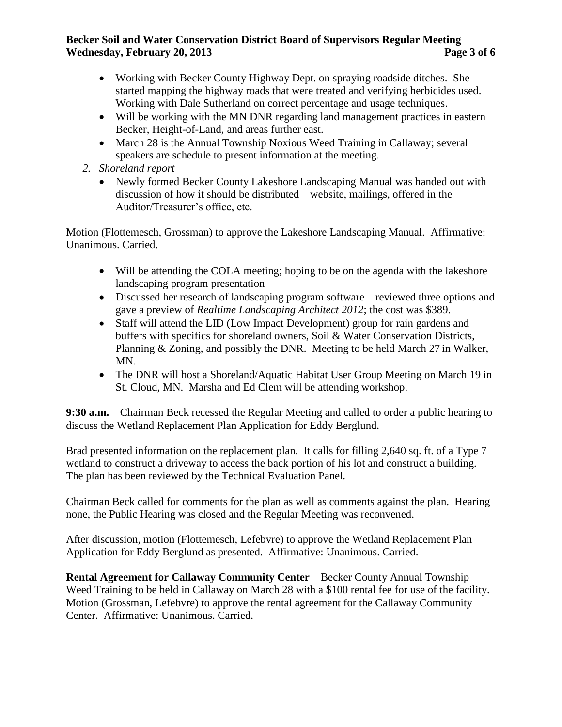#### **Becker Soil and Water Conservation District Board of Supervisors Regular Meeting Wednesday, February 20, 2013 Page 3 of 6**

- Working with Becker County Highway Dept. on spraying roadside ditches. She started mapping the highway roads that were treated and verifying herbicides used. Working with Dale Sutherland on correct percentage and usage techniques.
- Will be working with the MN DNR regarding land management practices in eastern Becker, Height-of-Land, and areas further east.
- March 28 is the Annual Township Noxious Weed Training in Callaway; several speakers are schedule to present information at the meeting.
- *2. Shoreland report* 
	- Newly formed Becker County Lakeshore Landscaping Manual was handed out with discussion of how it should be distributed – website, mailings, offered in the Auditor/Treasurer's office, etc.

Motion (Flottemesch, Grossman) to approve the Lakeshore Landscaping Manual. Affirmative: Unanimous. Carried.

- Will be attending the COLA meeting; hoping to be on the agenda with the lakeshore landscaping program presentation
- Discussed her research of landscaping program software reviewed three options and gave a preview of *Realtime Landscaping Architect 2012*; the cost was \$389.
- Staff will attend the LID (Low Impact Development) group for rain gardens and buffers with specifics for shoreland owners, Soil & Water Conservation Districts, Planning & Zoning, and possibly the DNR. Meeting to be held March 27 in Walker, MN.
- The DNR will host a Shoreland/Aquatic Habitat User Group Meeting on March 19 in St. Cloud, MN. Marsha and Ed Clem will be attending workshop.

**9:30 a.m.** – Chairman Beck recessed the Regular Meeting and called to order a public hearing to discuss the Wetland Replacement Plan Application for Eddy Berglund.

Brad presented information on the replacement plan. It calls for filling 2,640 sq. ft. of a Type 7 wetland to construct a driveway to access the back portion of his lot and construct a building. The plan has been reviewed by the Technical Evaluation Panel.

Chairman Beck called for comments for the plan as well as comments against the plan. Hearing none, the Public Hearing was closed and the Regular Meeting was reconvened.

After discussion, motion (Flottemesch, Lefebvre) to approve the Wetland Replacement Plan Application for Eddy Berglund as presented. Affirmative: Unanimous. Carried.

**Rental Agreement for Callaway Community Center** – Becker County Annual Township Weed Training to be held in Callaway on March 28 with a \$100 rental fee for use of the facility. Motion (Grossman, Lefebvre) to approve the rental agreement for the Callaway Community Center. Affirmative: Unanimous. Carried.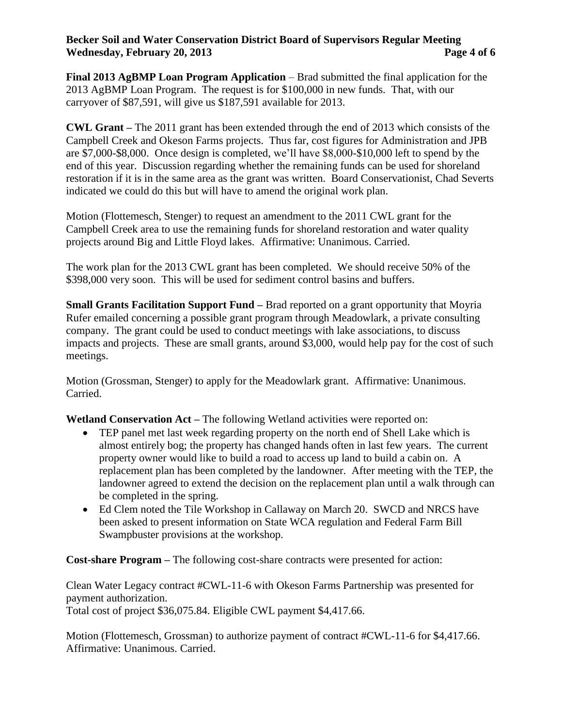## **Becker Soil and Water Conservation District Board of Supervisors Regular Meeting Wednesday, February 20, 2013 Page 4 of 6**

**Final 2013 AgBMP Loan Program Application** – Brad submitted the final application for the 2013 AgBMP Loan Program. The request is for \$100,000 in new funds. That, with our carryover of \$87,591, will give us \$187,591 available for 2013.

**CWL Grant –** The 2011 grant has been extended through the end of 2013 which consists of the Campbell Creek and Okeson Farms projects. Thus far, cost figures for Administration and JPB are \$7,000-\$8,000. Once design is completed, we'll have \$8,000-\$10,000 left to spend by the end of this year. Discussion regarding whether the remaining funds can be used for shoreland restoration if it is in the same area as the grant was written. Board Conservationist, Chad Severts indicated we could do this but will have to amend the original work plan.

Motion (Flottemesch, Stenger) to request an amendment to the 2011 CWL grant for the Campbell Creek area to use the remaining funds for shoreland restoration and water quality projects around Big and Little Floyd lakes. Affirmative: Unanimous. Carried.

The work plan for the 2013 CWL grant has been completed. We should receive 50% of the \$398,000 very soon. This will be used for sediment control basins and buffers.

**Small Grants Facilitation Support Fund –** Brad reported on a grant opportunity that Moyria Rufer emailed concerning a possible grant program through Meadowlark, a private consulting company. The grant could be used to conduct meetings with lake associations, to discuss impacts and projects. These are small grants, around \$3,000, would help pay for the cost of such meetings.

Motion (Grossman, Stenger) to apply for the Meadowlark grant. Affirmative: Unanimous. Carried.

**Wetland Conservation Act –** The following Wetland activities were reported on:

- TEP panel met last week regarding property on the north end of Shell Lake which is almost entirely bog; the property has changed hands often in last few years. The current property owner would like to build a road to access up land to build a cabin on. A replacement plan has been completed by the landowner. After meeting with the TEP, the landowner agreed to extend the decision on the replacement plan until a walk through can be completed in the spring.
- Ed Clem noted the Tile Workshop in Callaway on March 20. SWCD and NRCS have been asked to present information on State WCA regulation and Federal Farm Bill Swampbuster provisions at the workshop.

**Cost-share Program –** The following cost-share contracts were presented for action:

Clean Water Legacy contract #CWL-11-6 with Okeson Farms Partnership was presented for payment authorization.

Total cost of project \$36,075.84. Eligible CWL payment \$4,417.66.

Motion (Flottemesch, Grossman) to authorize payment of contract #CWL-11-6 for \$4,417.66. Affirmative: Unanimous. Carried.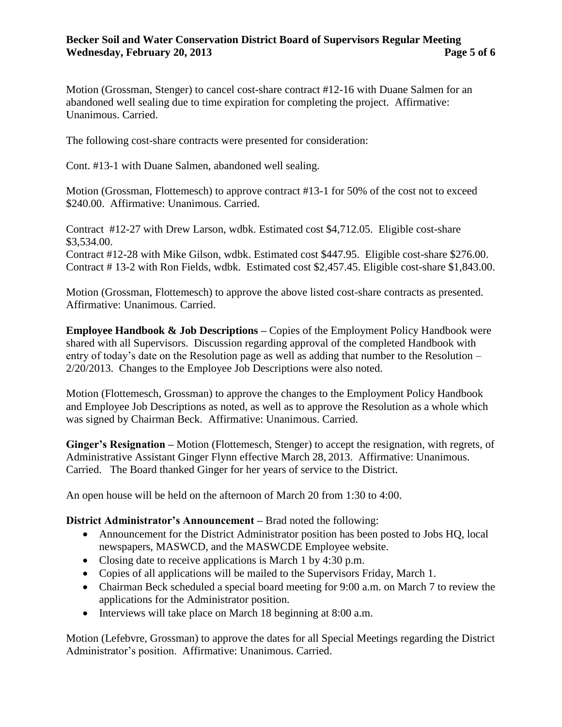#### **Becker Soil and Water Conservation District Board of Supervisors Regular Meeting Wednesday, February 20, 2013 Page 5 of 6**

Motion (Grossman, Stenger) to cancel cost-share contract #12-16 with Duane Salmen for an abandoned well sealing due to time expiration for completing the project. Affirmative: Unanimous. Carried.

The following cost-share contracts were presented for consideration:

Cont. #13-1 with Duane Salmen, abandoned well sealing.

Motion (Grossman, Flottemesch) to approve contract #13-1 for 50% of the cost not to exceed \$240.00. Affirmative: Unanimous. Carried.

Contract #12-27 with Drew Larson, wdbk. Estimated cost \$4,712.05. Eligible cost-share \$3,534.00.

Contract #12-28 with Mike Gilson, wdbk. Estimated cost \$447.95. Eligible cost-share \$276.00. Contract # 13-2 with Ron Fields, wdbk. Estimated cost \$2,457.45. Eligible cost-share \$1,843.00.

Motion (Grossman, Flottemesch) to approve the above listed cost-share contracts as presented. Affirmative: Unanimous. Carried.

**Employee Handbook & Job Descriptions – Copies of the Employment Policy Handbook were** shared with all Supervisors. Discussion regarding approval of the completed Handbook with entry of today's date on the Resolution page as well as adding that number to the Resolution – 2/20/2013. Changes to the Employee Job Descriptions were also noted.

Motion (Flottemesch, Grossman) to approve the changes to the Employment Policy Handbook and Employee Job Descriptions as noted, as well as to approve the Resolution as a whole which was signed by Chairman Beck. Affirmative: Unanimous. Carried.

**Ginger's Resignation –** Motion (Flottemesch, Stenger) to accept the resignation, with regrets, of Administrative Assistant Ginger Flynn effective March 28, 2013. Affirmative: Unanimous. Carried. The Board thanked Ginger for her years of service to the District.

An open house will be held on the afternoon of March 20 from 1:30 to 4:00.

#### **District Administrator's Announcement –** Brad noted the following:

- Announcement for the District Administrator position has been posted to Jobs HQ, local newspapers, MASWCD, and the MASWCDE Employee website.
- Closing date to receive applications is March 1 by 4:30 p.m.
- Copies of all applications will be mailed to the Supervisors Friday, March 1.
- Chairman Beck scheduled a special board meeting for 9:00 a.m. on March 7 to review the applications for the Administrator position.
- $\bullet$  Interviews will take place on March 18 beginning at 8:00 a.m.

Motion (Lefebvre, Grossman) to approve the dates for all Special Meetings regarding the District Administrator's position. Affirmative: Unanimous. Carried.